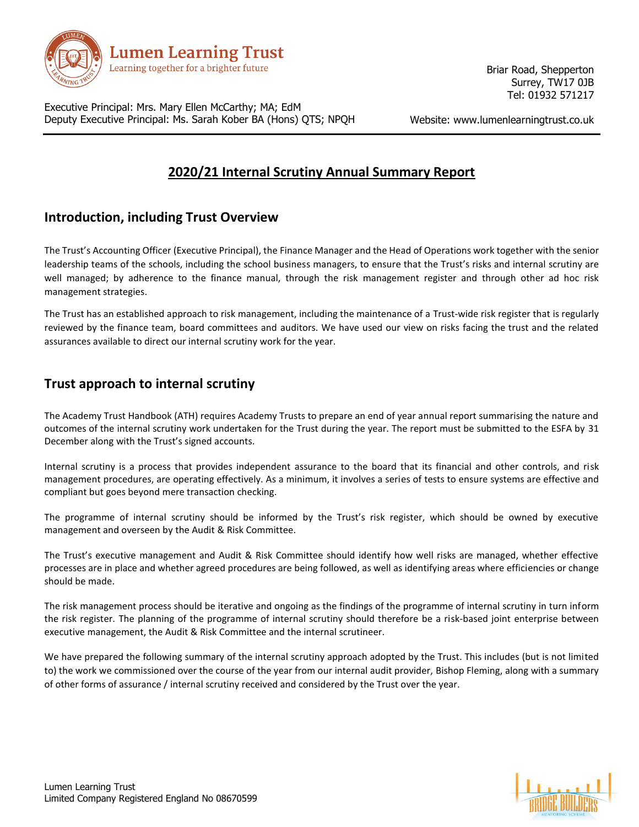

Briar Road, Shepperton Surrey, TW17 0JB Tel: 01932 571217

Executive Principal: Mrs. Mary Ellen McCarthy; MA; EdM Deputy Executive Principal: Ms. Sarah Kober BA (Hons) QTS; NPQH

Website: www.lumenlearningtrust.co.uk

# **2020/21 Internal Scrutiny Annual Summary Report**

## **Introduction, including Trust Overview**

The Trust's Accounting Officer (Executive Principal), the Finance Manager and the Head of Operations work together with the senior leadership teams of the schools, including the school business managers, to ensure that the Trust's risks and internal scrutiny are well managed; by adherence to the finance manual, through the risk management register and through other ad hoc risk management strategies.

The Trust has an established approach to risk management, including the maintenance of a Trust-wide risk register that is regularly reviewed by the finance team, board committees and auditors. We have used our view on risks facing the trust and the related assurances available to direct our internal scrutiny work for the year.

## **Trust approach to internal scrutiny**

The Academy Trust Handbook (ATH) requires Academy Trusts to prepare an end of year annual report summarising the nature and outcomes of the internal scrutiny work undertaken for the Trust during the year. The report must be submitted to the ESFA by 31 December along with the Trust's signed accounts.

Internal scrutiny is a process that provides independent assurance to the board that its financial and other controls, and risk management procedures, are operating effectively. As a minimum, it involves a series of tests to ensure systems are effective and compliant but goes beyond mere transaction checking.

The programme of internal scrutiny should be informed by the Trust's risk register, which should be owned by executive management and overseen by the Audit & Risk Committee.

The Trust's executive management and Audit & Risk Committee should identify how well risks are managed, whether effective processes are in place and whether agreed procedures are being followed, as well as identifying areas where efficiencies or change should be made.

The risk management process should be iterative and ongoing as the findings of the programme of internal scrutiny in turn inform the risk register. The planning of the programme of internal scrutiny should therefore be a risk-based joint enterprise between executive management, the Audit & Risk Committee and the internal scrutineer.

We have prepared the following summary of the internal scrutiny approach adopted by the Trust. This includes (but is not limited to) the work we commissioned over the course of the year from our internal audit provider, Bishop Fleming, along with a summary of other forms of assurance / internal scrutiny received and considered by the Trust over the year.

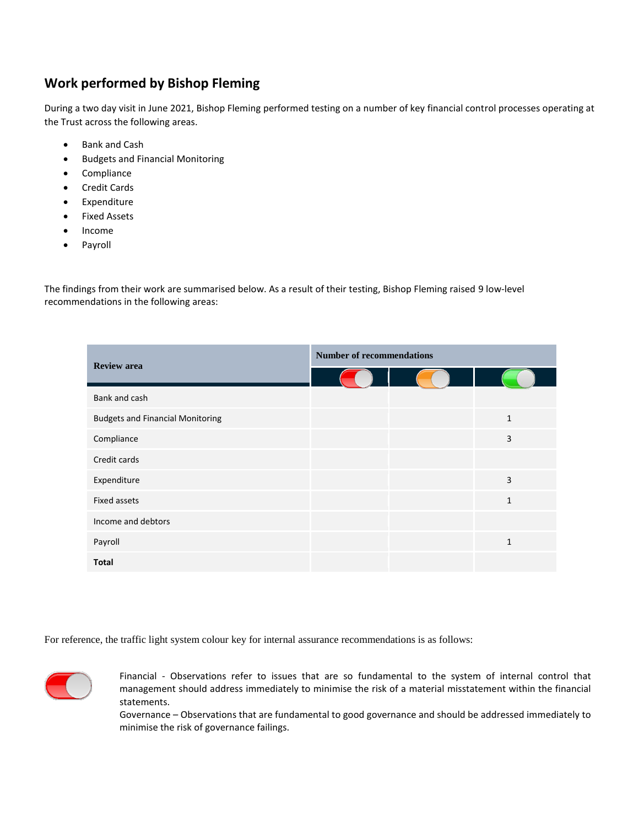## **Work performed by Bishop Fleming**

During a two day visit in June 2021, Bishop Fleming performed testing on a number of key financial control processes operating at the Trust across the following areas.

- Bank and Cash
- **•** Budgets and Financial Monitoring
- Compliance
- Credit Cards
- **•** Expenditure
- Fixed Assets
- Income
- Payroll

The findings from their work are summarised below. As a result of their testing, Bishop Fleming raised 9 low-level recommendations in the following areas:

| <b>Review area</b>                      | <b>Number of recommendations</b> |  |              |
|-----------------------------------------|----------------------------------|--|--------------|
|                                         |                                  |  |              |
| Bank and cash                           |                                  |  |              |
| <b>Budgets and Financial Monitoring</b> |                                  |  | $\mathbf{1}$ |
| Compliance                              |                                  |  | 3            |
| Credit cards                            |                                  |  |              |
| Expenditure                             |                                  |  | 3            |
| <b>Fixed assets</b>                     |                                  |  | $\mathbf{1}$ |
| Income and debtors                      |                                  |  |              |
| Payroll                                 |                                  |  | $\mathbf{1}$ |
| <b>Total</b>                            |                                  |  |              |

For reference, the traffic light system colour key for internal assurance recommendations is as follows:



Financial - Observations refer to issues that are so fundamental to the system of internal control that management should address immediately to minimise the risk of a material misstatement within the financial statements.

Governance – Observations that are fundamental to good governance and should be addressed immediately to minimise the risk of governance failings.